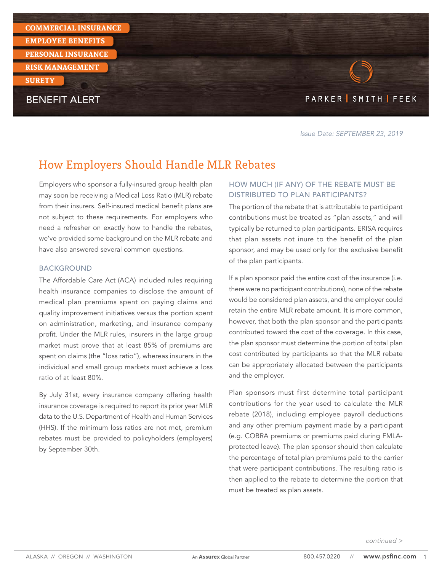

Issue Date: SEPTEMBER 23, 2019

# How Employers Should Handle MLR Rebates

Employers who sponsor a fully-insured group health plan may soon be receiving a Medical Loss Ratio (MLR) rebate from their insurers. Self-insured medical benefit plans are not subject to these requirements. For employers who need a refresher on exactly how to handle the rebates, we've provided some background on the MLR rebate and have also answered several common questions.

#### BACKGROUND

The Affordable Care Act (ACA) included rules requiring health insurance companies to disclose the amount of medical plan premiums spent on paying claims and quality improvement initiatives versus the portion spent on administration, marketing, and insurance company profit. Under the MLR rules, insurers in the large group market must prove that at least 85% of premiums are spent on claims (the "loss ratio"), whereas insurers in the individual and small group markets must achieve a loss ratio of at least 80%.

By July 31st, every insurance company offering health insurance coverage is required to report its prior year MLR data to the U.S. Department of Health and Human Services (HHS). If the minimum loss ratios are not met, premium rebates must be provided to policyholders (employers) by September 30th.

#### HOW MUCH (IF ANY) OF THE REBATE MUST BE DISTRIBUTED TO PLAN PARTICIPANTS?

The portion of the rebate that is attributable to participant contributions must be treated as "plan assets," and will typically be returned to plan participants. ERISA requires that plan assets not inure to the benefit of the plan sponsor, and may be used only for the exclusive benefit of the plan participants.

If a plan sponsor paid the entire cost of the insurance (i.e. there were no participant contributions), none of the rebate would be considered plan assets, and the employer could retain the entire MLR rebate amount. It is more common, however, that both the plan sponsor and the participants contributed toward the cost of the coverage. In this case, the plan sponsor must determine the portion of total plan cost contributed by participants so that the MLR rebate can be appropriately allocated between the participants and the employer.

Plan sponsors must first determine total participant contributions for the year used to calculate the MLR rebate (2018), including employee payroll deductions and any other premium payment made by a participant (e.g. COBRA premiums or premiums paid during FMLAprotected leave). The plan sponsor should then calculate the percentage of total plan premiums paid to the carrier that were participant contributions. The resulting ratio is then applied to the rebate to determine the portion that must be treated as plan assets.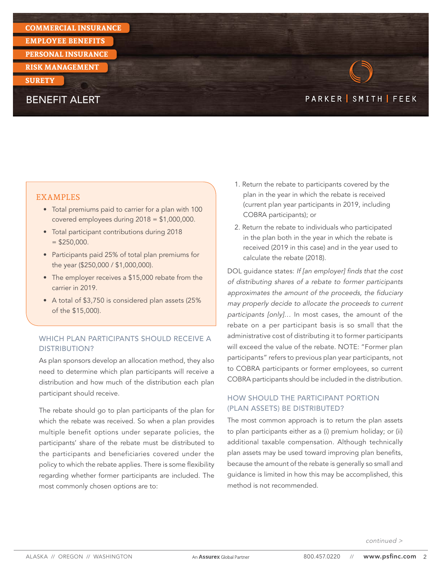#### **COMMERCIAL INSURANCE**

**EMPLOYEE BENEFITS** 

**PERSONAL INSURANCE**

**RISK MANAGEMENT** 

#### **SURETY**

## BENEFIT ALERT

# PARKER SMITH FEEK

#### EXAMPLES

- Total premiums paid to carrier for a plan with 100 covered employees during 2018 = \$1,000,000.
- Total participant contributions during 2018  $=$  \$250,000.
- Participants paid 25% of total plan premiums for the year (\$250,000 / \$1,000,000).
- The employer receives a \$15,000 rebate from the carrier in 2019.
- A total of \$3,750 is considered plan assets (25% of the \$15,000).

## WHICH PLAN PARTICIPANTS SHOULD RECEIVE A DISTRIBUTION?

As plan sponsors develop an allocation method, they also need to determine which plan participants will receive a distribution and how much of the distribution each plan participant should receive.

The rebate should go to plan participants of the plan for which the rebate was received. So when a plan provides multiple benefit options under separate policies, the participants' share of the rebate must be distributed to the participants and beneficiaries covered under the policy to which the rebate applies. There is some flexibility regarding whether former participants are included. The most commonly chosen options are to:

- 1. Return the rebate to participants covered by the plan in the year in which the rebate is received (current plan year participants in 2019, including COBRA participants); or
- 2. Return the rebate to individuals who participated in the plan both in the year in which the rebate is received (2019 in this case) and in the year used to calculate the rebate (2018).

DOL guidance states: If [an employer] finds that the cost of distributing shares of a rebate to former participants approximates the amount of the proceeds, the fiduciary may properly decide to allocate the proceeds to current participants [only]… In most cases, the amount of the rebate on a per participant basis is so small that the administrative cost of distributing it to former participants will exceed the value of the rebate. NOTE: "Former plan participants" refers to previous plan year participants, not to COBRA participants or former employees, so current COBRA participants should be included in the distribution.

## HOW SHOULD THE PARTICIPANT PORTION (PLAN ASSETS) BE DISTRIBUTED?

The most common approach is to return the plan assets to plan participants either as a (i) premium holiday; or (ii) additional taxable compensation. Although technically plan assets may be used toward improving plan benefits, because the amount of the rebate is generally so small and guidance is limited in how this may be accomplished, this method is not recommended.